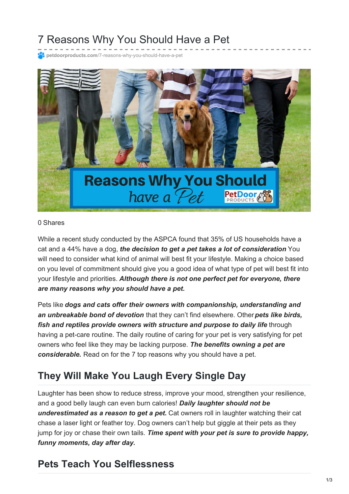# 7 Reasons Why You Should Have a Pet

**petdoorproducts.com**[/7-reasons-why-you-should-have-a-pet](https://petdoorproducts.com/7-reasons-why-you-should-have-a-pet/)



#### 0 Shares

While a recent study conducted by the ASPCA found that 35% of US households have a cat and a 44% have a dog, *the decision to get a pet takes a lot of consideration*. You will need to consider what kind of animal will best fit your lifestyle. Making a choice based on you level of commitment should give you a good idea of what type of pet will best fit into your lifestyle and priorities. *Although there is not one perfect pet for everyone, there are many reasons why you should have a pet.*

Pets like *dogs and cats offer their owners with companionship, understanding and an unbreakable bond of devotion* that they can't find elsewhere. Other*pets like birds, fish and reptiles provide owners with structure and purpose to daily life* through having a pet-care routine. The daily routine of caring for your pet is very satisfying for pet owners who feel like they may be lacking purpose. *The benefits owning a pet are considerable.* Read on for the 7 top reasons why you should have a pet.

#### **They Will Make You Laugh Every Single Day**

Laughter has been show to reduce stress, improve your mood, strengthen your resilience, and a good belly laugh can even burn calories! *Daily laughter should not be underestimated as a reason to get a pet.* Cat owners roll in laughter watching their cat chase a laser light or feather toy. Dog owners can't help but giggle at their pets as they jump for joy or chase their own tails. *Time spent with your pet is sure to provide happy, funny moments, day after day.*

#### **Pets Teach You Selflessness**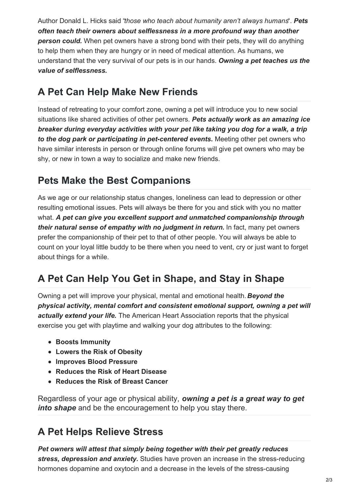Author Donald L. Hicks said "*those who teach about humanity aren't always humans*". *Pets often teach their owners about selflessness in a more profound way than another person could.* When pet owners have a strong bond with their pets, they will do anything to help them when they are hungry or in need of medical attention. As humans, we understand that the very survival of our pets is in our hands. *Owning a pet teaches us the value of selflessness.*

#### **A Pet Can Help Make New Friends**

Instead of retreating to your comfort zone, owning a pet will introduce you to new social situations like shared activities of other pet owners. *Pets actually work as an amazing ice breaker during everyday activities with your pet like taking you dog for a walk, a trip to the dog park or participating in pet-centered events.* Meeting other pet owners who have similar interests in person or through online forums will give pet owners who may be shy, or new in town a way to socialize and make new friends.

#### **Pets Make the Best Companions**

As we age or our relationship status changes, loneliness can lead to depression or other resulting emotional issues. Pets will always be there for you and stick with you no matter what. *A pet can give you excellent support and unmatched companionship through their natural sense of empathy with no judgment in return.* In fact, many pet owners prefer the companionship of their pet to that of other people. You will always be able to count on your loyal little buddy to be there when you need to vent, cry or just want to forget about things for a while.

## **A Pet Can Help You Get in Shape, and Stay in Shape**

Owning a pet will improve your physical, mental and emotional health. *Beyond the physical activity, mental comfort and consistent emotional support, owning a pet will actually extend your life.* The American Heart Association reports that the physical exercise you get with playtime and walking your dog attributes to the following:

- **Boosts Immunity**
- **Lowers the Risk of Obesity**
- **Improves Blood Pressure**
- **Reduces the Risk of Heart Disease**
- **Reduces the Risk of Breast Cancer**

Regardless of your age or physical ability, *owning a pet is a great way to get into shape* and be the encouragement to help you stay there.

#### **A Pet Helps Relieve Stress**

*Pet owners will attest that simply being together with their pet greatly reduces stress, depression and anxiety.* Studies have proven an increase in the stress-reducing hormones dopamine and oxytocin and a decrease in the levels of the stress-causing